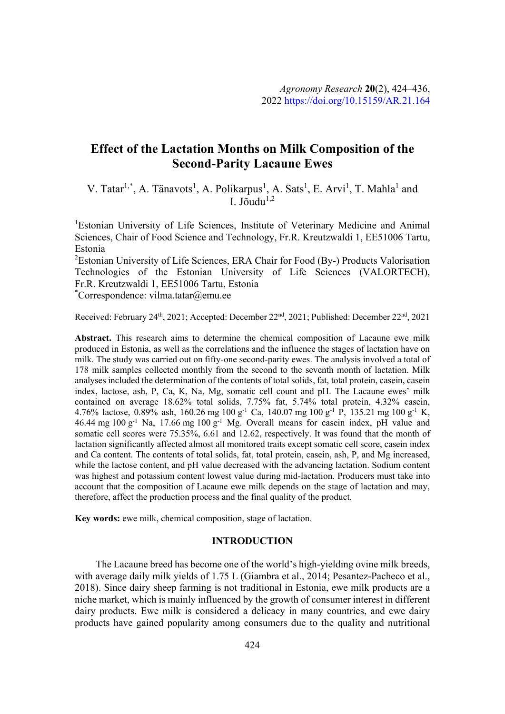# **Effect of the Lactation Months on Milk Composition of the Second-Parity Lacaune Ewes**

V. Tatar<sup>1,\*</sup>, A. Tänavots<sup>1</sup>, A. Polikarpus<sup>1</sup>, A. Sats<sup>1</sup>, E. Arvi<sup>1</sup>, T. Mahla<sup>1</sup> and I.  $I\hat{\delta}$ udu<sup>1,2</sup>

<sup>1</sup>Estonian University of Life Sciences, Institute of Veterinary Medicine and Animal Sciences, Chair of Food Science and Technology, Fr.R. Kreutzwaldi 1, EE51006 Tartu, Estonia

<sup>2</sup>Estonian University of Life Sciences, ERA Chair for Food (By-) Products Valorisation Technologies of the Estonian University of Life Sciences (VALORTECH), Fr.R. Kreutzwaldi 1, EE51006 Tartu, Estonia

\* Correspondence: vilma.tatar@emu.ee

Received: February 24<sup>th</sup>, 2021; Accepted: December 22<sup>nd</sup>, 2021; Published: December 22<sup>nd</sup>, 2021

**Abstract.** This research aims to determine the chemical composition of Lacaune ewe milk produced in Estonia, as well as the correlations and the influence the stages of lactation have on milk. The study was carried out on fifty-one second-parity ewes. The analysis involved a total of 178 milk samples collected monthly from the second to the seventh month of lactation. Milk analyses included the determination of the contents of total solids, fat, total protein, casein, casein index, lactose, ash, P, Ca, K, Na, Mg, somatic cell count and pH. The Lacaune ewes' milk contained on average 18.62% total solids, 7.75% fat, 5.74% total protein, 4.32% casein, 4.76% lactose, 0.89% ash, 160.26 mg 100 g<sup>-1</sup> Ca, 140.07 mg 100 g<sup>-1</sup> P, 135.21 mg 100 g<sup>-1</sup> K, 46.44 mg  $100 g^{-1}$  Na,  $17.66$  mg  $100 g^{-1}$  Mg. Overall means for casein index, pH value and somatic cell scores were 75.35%, 6.61 and 12.62, respectively. It was found that the month of lactation significantly affected almost all monitored traits except somatic cell score, casein index and Ca content. The contents of total solids, fat, total protein, casein, ash, P, and Mg increased, while the lactose content, and pH value decreased with the advancing lactation. Sodium content was highest and potassium content lowest value during mid-lactation. Producers must take into account that the composition of Lacaune ewe milk depends on the stage of lactation and may, therefore, affect the production process and the final quality of the product.

**Key words:** ewe milk, chemical composition, stage of lactation.

## **INTRODUCTION**

The Lacaune breed has become one of the world's high-yielding ovine milk breeds, with average daily milk yields of 1.75 L (Giambra et al., 2014; Pesantez-Pacheco et al., 2018). Since dairy sheep farming is not traditional in Estonia, ewe milk products are a niche market, which is mainly influenced by the growth of consumer interest in different dairy products. Ewe milk is considered a delicacy in many countries, and ewe dairy products have gained popularity among consumers due to the quality and nutritional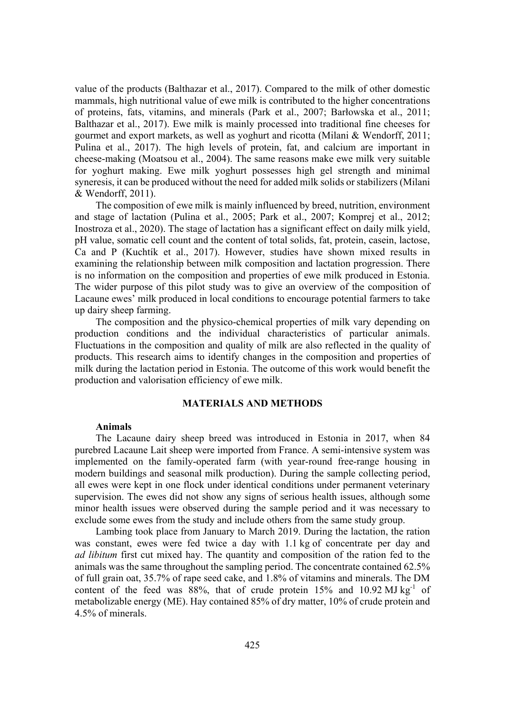value of the products (Balthazar et al., 2017). Compared to the milk of other domestic mammals, high nutritional value of ewe milk is contributed to the higher concentrations of proteins, fats, vitamins, and minerals (Park et al., 2007; Barłowska et al., 2011; Balthazar et al., 2017). Ewe milk is mainly processed into traditional fine cheeses for gourmet and export markets, as well as yoghurt and ricotta (Milani & Wendorff, 2011; Pulina et al., 2017). The high levels of protein, fat, and calcium are important in cheese-making (Moatsou et al., 2004). The same reasons make ewe milk very suitable for yoghurt making. Ewe milk yoghurt possesses high gel strength and minimal syneresis, it can be produced without the need for added milk solids or stabilizers (Milani & Wendorff, 2011).

The composition of ewe milk is mainly influenced by breed, nutrition, environment and stage of lactation (Pulina et al., 2005; Park et al., 2007; Komprej et al., 2012; Inostroza et al., 2020). The stage of lactation has a significant effect on daily milk yield, pH value, somatic cell count and the content of total solids, fat, protein, casein, lactose, Ca and P (Kuchtík et al., 2017). However, studies have shown mixed results in examining the relationship between milk composition and lactation progression. There is no information on the composition and properties of ewe milk produced in Estonia. The wider purpose of this pilot study was to give an overview of the composition of Lacaune ewes' milk produced in local conditions to encourage potential farmers to take up dairy sheep farming.

The composition and the physico-chemical properties of milk vary depending on production conditions and the individual characteristics of particular animals. Fluctuations in the composition and quality of milk are also reflected in the quality of products. This research aims to identify changes in the composition and properties of milk during the lactation period in Estonia. The outcome of this work would benefit the production and valorisation efficiency of ewe milk.

## **MATERIALS AND METHODS**

#### **Animals**

The Lacaune dairy sheep breed was introduced in Estonia in 2017, when 84 purebred Lacaune Lait sheep were imported from France. A semi-intensive system was implemented on the family-operated farm (with year-round free-range housing in modern buildings and seasonal milk production). During the sample collecting period, all ewes were kept in one flock under identical conditions under permanent veterinary supervision. The ewes did not show any signs of serious health issues, although some minor health issues were observed during the sample period and it was necessary to exclude some ewes from the study and include others from the same study group.

Lambing took place from January to March 2019. During the lactation, the ration was constant, ewes were fed twice a day with 1.1 kg of concentrate per day and *ad libitum* first cut mixed hay. The quantity and composition of the ration fed to the animals was the same throughout the sampling period. The concentrate contained 62.5% of full grain oat, 35.7% of rape seed cake, and 1.8% of vitamins and minerals. The DM content of the feed was  $88\%$ , that of crude protein  $15\%$  and  $10.92 \text{ MJ kg}^{-1}$  of metabolizable energy (ME). Hay contained 85% of dry matter, 10% of crude protein and 4.5% of minerals.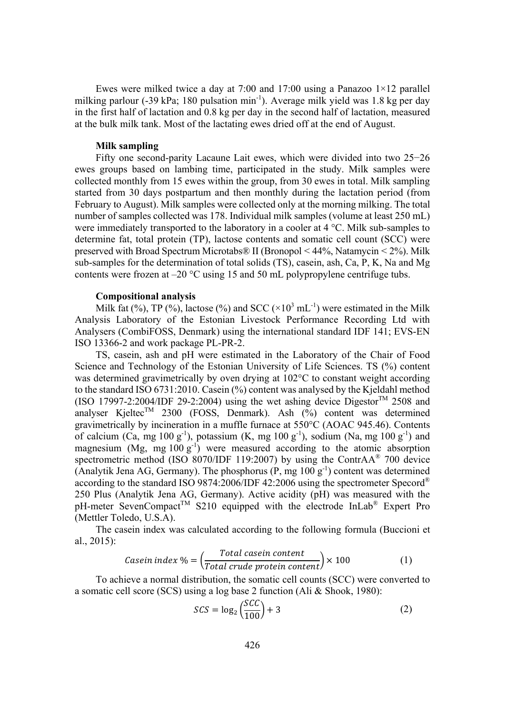Ewes were milked twice a day at 7:00 and 17:00 using a Panazoo  $1\times12$  parallel milking parlour (-39 kPa; 180 pulsation min<sup>-1</sup>). Average milk yield was 1.8 kg per day in the first half of lactation and 0.8 kg per day in the second half of lactation, measured at the bulk milk tank. Most of the lactating ewes dried off at the end of August.

### **Milk sampling**

Fifty one second-parity Lacaune Lait ewes, which were divided into two  $25-26$ ewes groups based on lambing time, participated in the study. Milk samples were collected monthly from 15 ewes within the group, from 30 ewes in total. Milk sampling started from 30 days postpartum and then monthly during the lactation period (from February to August). Milk samples were collected only at the morning milking. The total number of samples collected was 178. Individual milk samples (volume at least 250 mL) were immediately transported to the laboratory in a cooler at 4 °C. Milk sub-samples to determine fat, total protein (TP), lactose contents and somatic cell count (SCC) were preserved with Broad Spectrum Microtabs® II (Bronopol < 44%, Natamycin < 2%). Milk sub-samples for the determination of total solids (TS), casein, ash, Ca, P, K, Na and Mg contents were frozen at  $-20$  °C using 15 and 50 mL polypropylene centrifuge tubs.

#### **Compositional analysis**

Milk fat (%), TP (%), lactose (%) and SCC ( $\times$ 10<sup>3</sup> mL<sup>-1</sup>) were estimated in the Milk Analysis Laboratory of the Estonian Livestock Performance Recording Ltd with Analysers (CombiFOSS, Denmark) using the international standard IDF 141; EVS-EN ISO 13366-2 and work package PL-PR-2.

TS, casein, ash and pH were estimated in the Laboratory of the Chair of Food Science and Technology of the Estonian University of Life Sciences. TS (%) content was determined gravimetrically by oven drying at 102°C to constant weight according to the standard ISO 6731:2010. Casein (%) content was analysed by the Kjeldahl method (ISO 17997-2:2004/IDF 29-2:2004) using the wet ashing device Digestor<sup>TM</sup> 2508 and analyser Kjeltec<sup>TM</sup> 2300 (FOSS, Denmark). Ash (%) content was determined gravimetrically by incineration in a muffle furnace at 550°C (AOAC 945.46). Contents of calcium (Ca, mg 100  $g^{-1}$ ), potassium (K, mg 100  $g^{-1}$ ), sodium (Na, mg 100  $g^{-1}$ ) and magnesium (Mg, mg  $100 \text{ g}^{-1}$ ) were measured according to the atomic absorption spectrometric method (ISO 8070/IDF 119:2007) by using the ContrAA® 700 device (Analytik Jena AG, Germany). The phosphorus  $(P, mg 100 g<sup>-1</sup>)$  content was determined according to the standard ISO 9874:2006/IDF 42:2006 using the spectrometer Specord® 250 Plus (Analytik Jena AG, Germany). Active acidity (pH) was measured with the  $pH$ -meter SevenCompact<sup>TM</sup> S210 equipped with the electrode InLab<sup>®</sup> Expert Pro (Mettler Toledo, U.S.A).

The casein index was calculated according to the following formula (Buccioni et al., 2015):

Casein index 
$$
\% = \left(\frac{Total \text{ casein content}}{Total \text{ crude protein content}}\right) \times 100
$$
 (1)

To achieve a normal distribution, the somatic cell counts (SCC) were converted to a somatic cell score (SCS) using a log base 2 function (Ali & Shook, 1980):

$$
SCS = \log_2\left(\frac{SCC}{100}\right) + 3\tag{2}
$$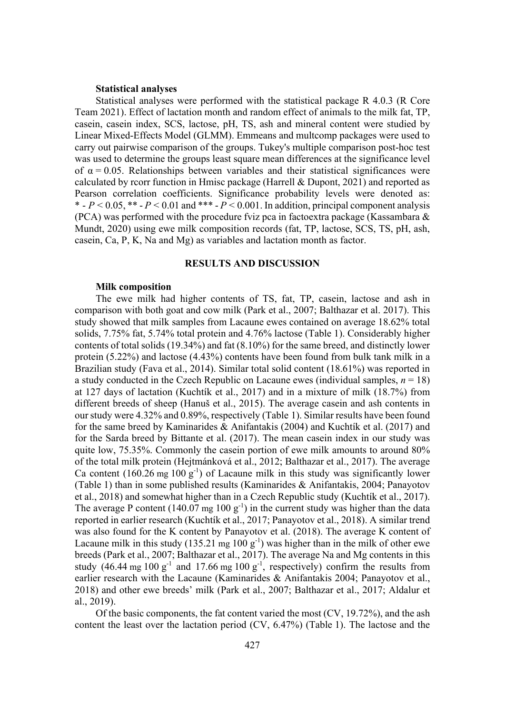### **Statistical analyses**

Statistical analyses were performed with the statistical package R 4.0.3 (R Core Team 2021). Effect of lactation month and random effect of animals to the milk fat, TP, casein, casein index, SCS, lactose, pH, TS, ash and mineral content were studied by Linear Mixed-Effects Model (GLMM). Emmeans and multcomp packages were used to carry out pairwise comparison of the groups. Tukey's multiple comparison post-hoc test was used to determine the groups least square mean differences at the significance level of  $\alpha$  = 0.05. Relationships between variables and their statistical significances were calculated by rcorr function in Hmisc package (Harrell & Dupont, 2021) and reported as Pearson correlation coefficients. Significance probability levels were denoted as: \*  $-P < 0.05$ , \*\*  $-P < 0.01$  and \*\*\*  $-P < 0.001$ . In addition, principal component analysis (PCA) was performed with the procedure fviz pca in factoextra package (Kassambara & Mundt, 2020) using ewe milk composition records (fat, TP, lactose, SCS, TS, pH, ash, casein, Ca, P, K, Na and Mg) as variables and lactation month as factor.

### **RESULTS AND DISCUSSION**

#### **Milk composition**

The ewe milk had higher contents of TS, fat, TP, casein, lactose and ash in comparison with both goat and cow milk (Park et al., 2007; Balthazar et al. 2017). This study showed that milk samples from Lacaune ewes contained on average 18.62% total solids, 7.75% fat, 5.74% total protein and 4.76% lactose (Table 1). Considerably higher contents of total solids (19.34%) and fat (8.10%) for the same breed, and distinctly lower protein (5.22%) and lactose (4.43%) contents have been found from bulk tank milk in a Brazilian study (Fava et al., 2014). Similar total solid content (18.61%) was reported in a study conducted in the Czech Republic on Lacaune ewes (individual samples, *n* = 18) at 127 days of lactation (Kuchtík et al., 2017) and in a mixture of milk (18.7%) from different breeds of sheep (Hanuš et al., 2015). The average casein and ash contents in our study were 4.32% and 0.89%, respectively (Table 1). Similar results have been found for the same breed by Kaminarides & Anifantakis (2004) and Kuchtík et al. (2017) and for the Sarda breed by Bittante et al. (2017). The mean casein index in our study was quite low, 75.35%. Commonly the casein portion of ewe milk amounts to around 80% of the total milk protein (Hejtmánková et al., 2012; Balthazar et al., 2017). The average Ca content (160.26 mg 100  $g^{-1}$ ) of Lacaune milk in this study was significantly lower (Table 1) than in some published results (Kaminarides & Anifantakis, 2004; Panayotov et al., 2018) and somewhat higher than in a Czech Republic study (Kuchtík et al., 2017). The average P content (140.07 mg 100  $g^{-1}$ ) in the current study was higher than the data reported in earlier research (Kuchtík et al., 2017; Panayotov et al., 2018). A similar trend was also found for the K content by Panayotov et al. (2018). The average K content of Lacaune milk in this study (135.21 mg  $100 \text{ g}^{-1}$ ) was higher than in the milk of other ewe breeds (Park et al., 2007; Balthazar et al., 2017). The average Na and Mg contents in this study (46.44 mg 100  $g^{-1}$  and 17.66 mg 100  $g^{-1}$ , respectively) confirm the results from earlier research with the Lacaune (Kaminarides & Anifantakis 2004; Panayotov et al., 2018) and other ewe breeds' milk (Park et al., 2007; Balthazar et al., 2017; Aldalur et al., 2019).

Of the basic components, the fat content varied the most (CV, 19.72%), and the ash content the least over the lactation period (CV, 6.47%) (Table 1). The lactose and the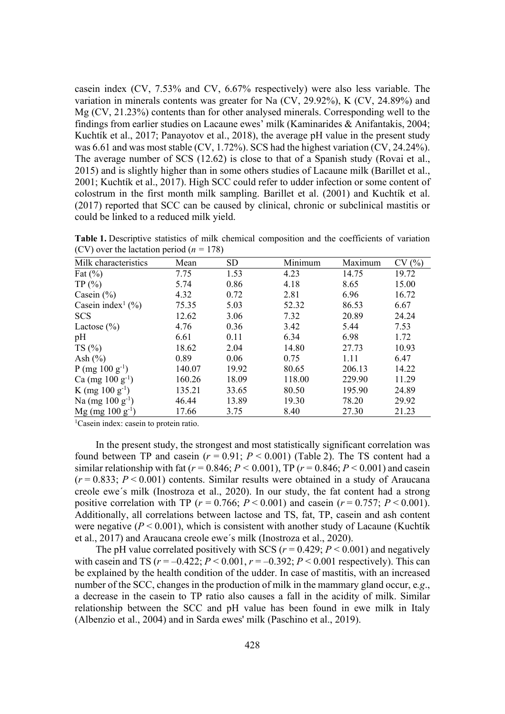casein index (CV, 7.53% and CV, 6.67% respectively) were also less variable. The variation in minerals contents was greater for Na (CV, 29.92%), K (CV, 24.89%) and Mg (CV, 21.23%) contents than for other analysed minerals. Corresponding well to the findings from earlier studies on Lacaune ewes' milk (Kaminarides & Anifantakis, 2004; Kuchtík et al., 2017; Panayotov et al., 2018), the average pH value in the present study was 6.61 and was most stable (CV, 1.72%). SCS had the highest variation (CV, 24.24%). The average number of SCS (12.62) is close to that of a Spanish study (Rovai et al., 2015) and is slightly higher than in some others studies of Lacaune milk (Barillet et al., 2001; Kuchtík et al., 2017). High SCC could refer to udder infection or some content of colostrum in the first month milk sampling. Barillet et al. (2001) and Kuchtík et al. (2017) reported that SCC can be caused by clinical, chronic or subclinical mastitis or could be linked to a reduced milk yield.

| $(CV)$ over the lactation period $(n = 1/8)$ |        |       |         |         |       |
|----------------------------------------------|--------|-------|---------|---------|-------|
| Milk characteristics                         | Mean   | SD.   | Minimum | Maximum | CV(%) |
| Fat $(\%)$                                   | 7.75   | 1.53  | 4.23    | 14.75   | 19.72 |
| TP(%)                                        | 5.74   | 0.86  | 4.18    | 8.65    | 15.00 |
| Casein $(\% )$                               | 4.32   | 0.72  | 2.81    | 6.96    | 16.72 |
| Casein index <sup>1</sup> $(\% )$            | 75.35  | 5.03  | 52.32   | 86.53   | 6.67  |
| <b>SCS</b>                                   | 12.62  | 3.06  | 7.32    | 20.89   | 24.24 |
| Lactose $(\% )$                              | 4.76   | 0.36  | 3.42    | 5.44    | 7.53  |
| pH                                           | 6.61   | 0.11  | 6.34    | 6.98    | 1.72  |
| TS(%)                                        | 18.62  | 2.04  | 14.80   | 27.73   | 10.93 |
| Ash $(\% )$                                  | 0.89   | 0.06  | 0.75    | 1.11    | 6.47  |
| P (mg $100 \text{ g}^{-1}$ )                 | 140.07 | 19.92 | 80.65   | 206.13  | 14.22 |
| Ca (mg $100 \text{ g}^{-1}$ )                | 160.26 | 18.09 | 118.00  | 229.90  | 11.29 |
| K (mg $100 \text{ g}^{-1}$ )                 | 135.21 | 33.65 | 80.50   | 195.90  | 24.89 |

) 46.44 13.89 19.30 78.20 29.92

) 17.66 3.75 8.40 27.30 21.23

**Table 1.** Descriptive statistics of milk chemical composition and the coefficients of variation  $(CV)$  over the lectation period ( $r = 178$ ) (CV) over the lactation period ( $n = 178$ )

<sup>1</sup>Casein index: casein to protein ratio.

Na (mg  $100 g^{-1}$ )

 $Mg$  (mg 100 g<sup>-1</sup>)

In the present study, the strongest and most statistically significant correlation was found between TP and casein  $(r = 0.91; P \le 0.001)$  (Table 2). The TS content had a similar relationship with fat ( $r = 0.846$ ;  $P < 0.001$ ), TP ( $r = 0.846$ ;  $P < 0.001$ ) and casein  $(r = 0.833; P < 0.001)$  contents. Similar results were obtained in a study of Araucana creole ewe´s milk (Inostroza et al., 2020). In our study, the fat content had a strong positive correlation with TP ( $r = 0.766$ ;  $P < 0.001$ ) and casein ( $r = 0.757$ ;  $P < 0.001$ ). Additionally, all correlations between lactose and TS, fat, TP, casein and ash content were negative  $(P < 0.001)$ , which is consistent with another study of Lacaune (Kuchtík et al., 2017) and Araucana creole ewe´s milk (Inostroza et al., 2020).

The pH value correlated positively with SCS ( $r = 0.429$ ;  $P \le 0.001$ ) and negatively with case in and TS  $(r = -0.422; P \le 0.001, r = -0.392; P \le 0.001$  respectively). This can be explained by the health condition of the udder. In case of mastitis, with an increased number of the SCC, changes in the production of milk in the mammary gland occur, e*.g*., a decrease in the casein to TP ratio also causes a fall in the acidity of milk. Similar relationship between the SCC and pH value has been found in ewe milk in Italy (Albenzio et al., 2004) and in Sarda ewes' milk (Paschino et al., 2019).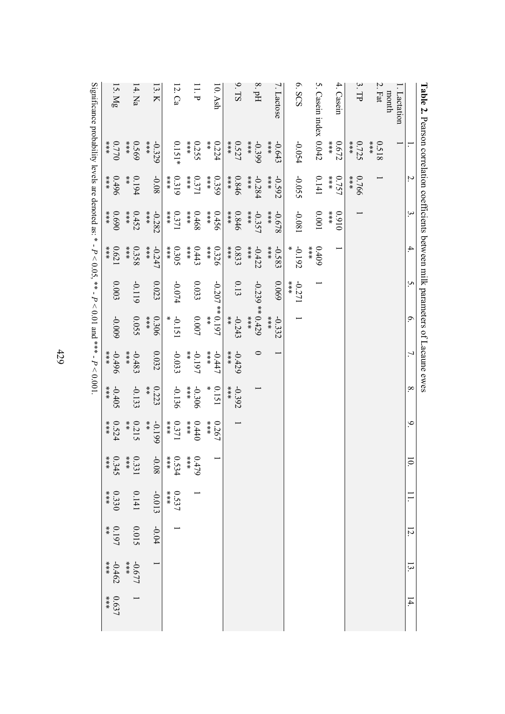|                                                                                                          | ř                                                         |                                                           |                          |                          | <b>THE</b>       |                                  |                         |                                                              |                         |                |              |         |                 |       |
|----------------------------------------------------------------------------------------------------------|-----------------------------------------------------------|-----------------------------------------------------------|--------------------------|--------------------------|------------------|----------------------------------|-------------------------|--------------------------------------------------------------|-------------------------|----------------|--------------|---------|-----------------|-------|
|                                                                                                          | Ξ.                                                        | Ņ.                                                        | $\ddot{\mathbf{3}}$      | 4.                       | S.               | $\circ$                          | 7.                      | $\infty$                                                     | 9.                      |                |              | 12.     | 13.             | 14.   |
| l. Lactation                                                                                             |                                                           |                                                           |                          |                          |                  |                                  |                         |                                                              |                         |                |              |         |                 |       |
| month                                                                                                    |                                                           |                                                           |                          |                          |                  |                                  |                         |                                                              |                         |                |              |         |                 |       |
| $2.$ Fat                                                                                                 | ***<br>8130                                               |                                                           |                          |                          |                  |                                  |                         |                                                              |                         |                |              |         |                 |       |
| 3.TP                                                                                                     | 0.725<br>$***$                                            | 0.766                                                     |                          |                          |                  |                                  |                         |                                                              |                         |                |              |         |                 |       |
| 4. Casein                                                                                                | $\begin{array}{l} * \ * \ * \ * \ * \end{array}$<br>0.672 | 0.757<br>***                                              | $*$<br>$*$<br>0160       |                          |                  |                                  |                         |                                                              |                         |                |              |         |                 |       |
| 5. Casein index 0.042                                                                                    |                                                           | 0.141                                                     | $100.0$                  | $**\atop{*}$<br>$60 + 0$ |                  |                                  |                         |                                                              |                         |                |              |         |                 |       |
| 6. SCS                                                                                                   | -0.054                                                    | -0.055                                                    | $-0.081$                 | $-0.192$<br>X            | $**$<br>$-0.271$ |                                  |                         |                                                              |                         |                |              |         |                 |       |
| 7. Lactose                                                                                               | $***$<br>$-0.643$                                         | $***$<br>-0.592                                           | $***$<br>829.0-          | $**$<br>-0.583           | 690'0            | $***$<br>$-0.332$                |                         |                                                              |                         |                |              |         |                 |       |
| $8.$ pH                                                                                                  | ***<br>$-0.399$                                           | ***<br>$-0.284$                                           | ***<br>$-0.357$          | ***<br>$-0.422$          | $-0.239**0.429$  | $***$                            | $\circ$                 |                                                              |                         |                |              |         |                 |       |
| 9.TS                                                                                                     | 0.527<br>***                                              | 0.846<br>***                                              | 0.846<br>$*$<br>$*$      | 0.833<br>$***$           | 0.13             | $-0.243$<br>$\stackrel{*}{\ast}$ | $* * *$<br>$-0.429$     | $**$<br>$-0.392$                                             |                         |                |              |         |                 |       |
| $10.$ Ash                                                                                                | $\frac{*}{*}$<br>0.224                                    | $\begin{array}{l} * \ * \ * \ * \ * \end{array}$<br>0.359 | 0.456<br>***             | 0.326<br>***             | $-0.207**0.197$  | $\frac{x}{x}$                    | $**$<br>$-0.447$        | X<br>0.151                                                   | 0.267<br>***            |                |              |         |                 |       |
| $11.$ P                                                                                                  | $**$<br>0.255                                             | $**\atop{*}$<br>0.371                                     | 89+0<br>***              | 0.443<br>***             | 0.033            | $0.007\,$                        | $\frac{*}{*}$<br>-0.197 | $\begin{array}{l} * \ * \ * \ * \ * \end{array}$<br>$-0.306$ | 0.440                   | $0.479$<br>*** |              |         |                 |       |
| 12. Ca                                                                                                   | $0.151*$                                                  | $\begin{array}{l} * \ * \ * \ * \ * \end{array}$<br>0.319 | 0.371<br>$**\atop{*}{*}$ | 0.305<br>$***$           | +20.0-           | $-0.151$                         | $-0.033$                | -0.136                                                       | 0.371                   | 0.534<br>***   | 0.537<br>*** |         |                 |       |
| 13. K                                                                                                    | $***$<br>$-0.329$                                         | $-0.08$                                                   | $-0.282$<br>***          | $**$<br>$-0.247$         | 0.023            | $***$<br>0.306                   | 0.032                   | 0.223<br>$\frac{*}{*}$                                       | $\frac{1}{x}$<br>-0.199 | $-0.08$        | -0.013       | $-0.04$ |                 |       |
| $14.$ Na                                                                                                 | $***$<br>0.569                                            | $\frac{*}{*}$<br>0.194                                    | 0.452<br>***             | 0.358<br>$***$           | -0.119           | 0.055                            | $***$<br>$-0.483$       | $-0.133$                                                     | $\frac{*}{*}$<br>0.215  | 0.331          | 0.141        | 0.015   | $-0.677$        |       |
| 15. Mg                                                                                                   | $**\atop{*}$<br>077.0                                     | $0.496$<br>***                                            | 0.690<br>0.690           | $0.621\,$<br>$***$       | 0.003            | -0.009                           | -0.496<br>$**$          | $***$<br>$-0.405$                                            | 0.524<br>***            | 0.345          | 0.330        | 0.197   | $-0.462$<br>*** | 0.637 |
| Significance probability levels are denoted as: * - $P < 0.05$ , ** - $P < 0.01$ and *** - $P < 0.001$ . |                                                           |                                                           |                          |                          |                  |                                  |                         |                                                              |                         |                |              |         |                 |       |
|                                                                                                          |                                                           |                                                           |                          |                          |                  |                                  |                         |                                                              |                         |                |              |         |                 |       |

**Table 2.** Pearson correlation coefficients between milk parameters of Lacaune ewes

429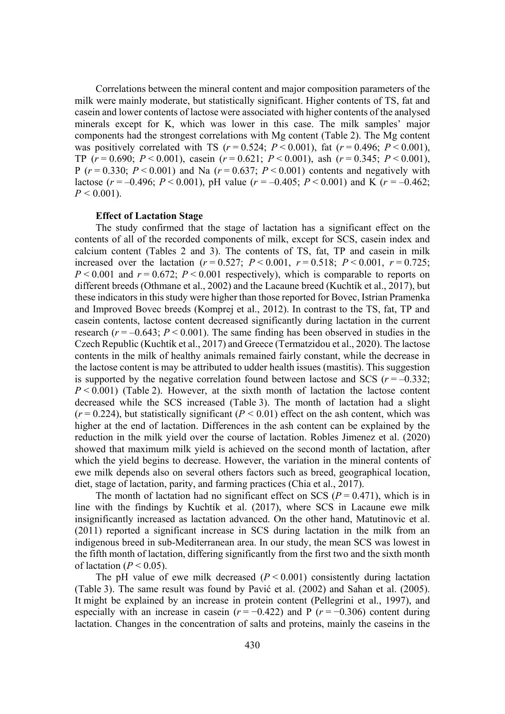Correlations between the mineral content and major composition parameters of the milk were mainly moderate, but statistically significant. Higher contents of TS, fat and casein and lower contents of lactose were associated with higher contents of the analysed minerals except for K, which was lower in this case. The milk samples' major components had the strongest correlations with Mg content (Table 2). The Mg content was positively correlated with TS  $(r = 0.524; P < 0.001)$ , fat  $(r = 0.496; P < 0.001)$ , TP  $(r = 0.690; P < 0.001)$ , casein  $(r = 0.621; P < 0.001)$ , ash  $(r = 0.345; P < 0.001)$ , P ( $r = 0.330$ ;  $P < 0.001$ ) and Na ( $r = 0.637$ ;  $P < 0.001$ ) contents and negatively with lactose ( $r = -0.496$ ;  $P < 0.001$ ), pH value ( $r = -0.405$ ;  $P < 0.001$ ) and K ( $r = -0.462$ ;  $P < 0.001$ ).

#### **Effect of Lactation Stage**

The study confirmed that the stage of lactation has a significant effect on the contents of all of the recorded components of milk, except for SCS, casein index and calcium content (Tables 2 and 3). The contents of TS, fat, TP and casein in milk increased over the lactation  $(r = 0.527; P < 0.001, r = 0.518; P < 0.001, r = 0.725;$  $P \le 0.001$  and  $r = 0.672$ ;  $P \le 0.001$  respectively), which is comparable to reports on different breeds (Othmane et al., 2002) and the Lacaune breed (Kuchtík et al., 2017), but these indicators in this study were higher than those reported for Bovec, Istrian Pramenka and Improved Bovec breeds (Komprej et al., 2012). In contrast to the TS, fat, TP and casein contents, lactose content decreased significantly during lactation in the current research  $(r = -0.643; P \le 0.001)$ . The same finding has been observed in studies in the Czech Republic (Kuchtík et al., 2017) and Greece (Termatzidou et al., 2020). The lactose contents in the milk of healthy animals remained fairly constant, while the decrease in the lactose content is may be attributed to udder health issues (mastitis). This suggestion is supported by the negative correlation found between lactose and SCS  $(r = -0.332)$ ;  $P < 0.001$ ) (Table 2). However, at the sixth month of lactation the lactose content decreased while the SCS increased (Table 3). The month of lactation had a slight  $(r = 0.224)$ , but statistically significant  $(P < 0.01)$  effect on the ash content, which was higher at the end of lactation. Differences in the ash content can be explained by the reduction in the milk yield over the course of lactation. Robles Jimenez et al. (2020) showed that maximum milk yield is achieved on the second month of lactation, after which the yield begins to decrease. However, the variation in the mineral contents of ewe milk depends also on several others factors such as breed, geographical location, diet, stage of lactation, parity, and farming practices (Chia et al., 2017).

The month of lactation had no significant effect on SCS ( $P = 0.471$ ), which is in line with the findings by Kuchtík et al. (2017), where SCS in Lacaune ewe milk insignificantly increased as lactation advanced. On the other hand, Matutinovic et al. (2011) reported a significant increase in SCS during lactation in the milk from an indigenous breed in sub-Mediterranean area. In our study, the mean SCS was lowest in the fifth month of lactation, differing significantly from the first two and the sixth month of lactation ( $P < 0.05$ ).

The pH value of ewe milk decreased  $(P < 0.001)$  consistently during lactation (Table 3). The same result was found by Pavić et al.  $(2002)$  and Sahan et al.  $(2005)$ . It might be explained by an increase in protein content (Pellegrini et al., 1997), and especially with an increase in casein  $(r = -0.422)$  and P  $(r = -0.306)$  content during lactation. Changes in the concentration of salts and proteins, mainly the caseins in the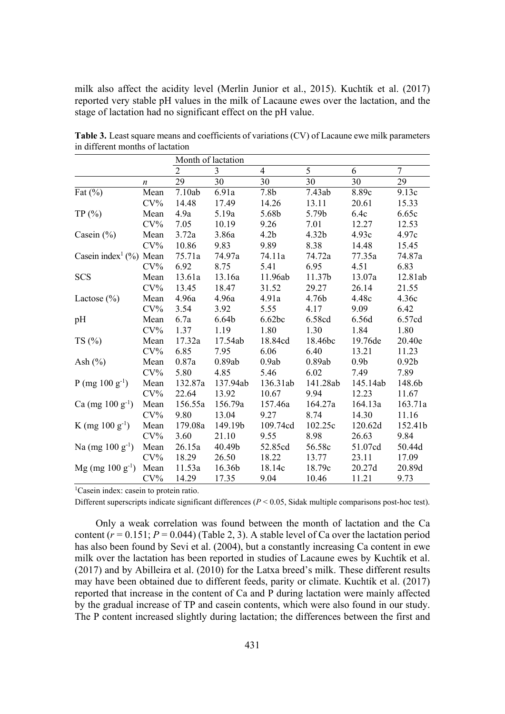milk also affect the acidity level (Merlin Junior et al., 2015). Kuchtík et al. (2017) reported very stable pH values in the milk of Lacaune ewes over the lactation, and the stage of lactation had no significant effect on the pH value.

|                                    |                  |                | Month of lactation |                  |          |                  |                   |
|------------------------------------|------------------|----------------|--------------------|------------------|----------|------------------|-------------------|
|                                    |                  | $\overline{2}$ | 3                  | $\overline{4}$   | 5        | 6                | 7                 |
|                                    | $\boldsymbol{n}$ | 29             | 30                 | 30               | 30       | 30               | 29                |
| Fat $(\% )$                        | Mean             | 7.10ab         | 6.91a              | 7.8 <sub>b</sub> | 7.43ab   | 8.89c            | 9.13c             |
|                                    | $CV\%$           | 14.48          | 17.49              | 14.26            | 13.11    | 20.61            | 15.33             |
| TP(%)                              | Mean             | 4.9a           | 5.19a              | 5.68b            | 5.79b    | 6.4c             | 6.65c             |
|                                    | $CV\%$           | 7.05           | 10.19              | 9.26             | 7.01     | 12.27            | 12.53             |
| Casein $(\% )$                     | Mean             | 3.72a          | 3.86a              | 4.2 <sub>b</sub> | 4.32b    | 4.93c            | 4.97c             |
|                                    | $CV\%$           | 10.86          | 9.83               | 9.89             | 8.38     | 14.48            | 15.45             |
| Casein index <sup>1</sup> (%) Mean |                  | 75.71a         | 74.97a             | 74.11a           | 74.72a   | 77.35a           | 74.87a            |
|                                    | $CV\%$           | 6.92           | 8.75               | 5.41             | 6.95     | 4.51             | 6.83              |
| <b>SCS</b>                         | Mean             | 13.61a         | 13.16a             | 11.96ab          | 11.37b   | 13.07a           | 12.81ab           |
|                                    | $CV\%$           | 13.45          | 18.47              | 31.52            | 29.27    | 26.14            | 21.55             |
| Lactose $(\% )$                    | Mean             | 4.96a          | 4.96a              | 4.91a            | 4.76b    | 4.48c            | 4.36c             |
|                                    | $CV\%$           | 3.54           | 3.92               | 5.55             | 4.17     | 9.09             | 6.42              |
| pH                                 | Mean             | 6.7a           | 6.64 <sub>b</sub>  | 6.62bc           | 6.58cd   | 6.56d            | 6.57cd            |
|                                    | $CV\%$           | 1.37           | 1.19               | 1.80             | 1.30     | 1.84             | 1.80              |
| TS(%)                              | Mean             | 17.32a         | 17.54ab            | 18.84cd          | 18.46bc  | 19.76de          | 20.40e            |
|                                    | $CV\%$           | 6.85           | 7.95               | 6.06             | 6.40     | 13.21            | 11.23             |
| Ash $(\% )$                        | Mean             | 0.87a          | 0.89ab             | 0.9ab            | 0.89ab   | 0.9 <sub>b</sub> | 0.92 <sub>b</sub> |
|                                    | $CV\%$           | 5.80           | 4.85               | 5.46             | 6.02     | 7.49             | 7.89              |
| P (mg $100 \text{ g}^{-1}$ )       | Mean             | 132.87a        | 137.94ab           | 136.31ab         | 141.28ab | 145.14ab         | 148.6b            |
|                                    | $CV\%$           | 22.64          | 13.92              | 10.67            | 9.94     | 12.23            | 11.67             |
| Ca (mg $100 g^{-1}$ )              | Mean             | 156.55a        | 156.79a            | 157.46a          | 164.27a  | 164.13a          | 163.71a           |
|                                    | $CV\%$           | 9.80           | 13.04              | 9.27             | 8.74     | 14.30            | 11.16             |
| K (mg $100 \text{ g}^{-1}$ )       | Mean             | 179.08a        | 149.19b            | 109.74cd         | 102.25c  | 120.62d          | 152.41b           |
|                                    | $CV\%$           | 3.60           | 21.10              | 9.55             | 8.98     | 26.63            | 9.84              |
| Na (mg $100 g^{-1}$ )              | Mean             | 26.15a         | 40.49b             | 52.85cd          | 56.58c   | 51.07cd          | 50.44d            |
|                                    | $CV\%$           | 18.29          | 26.50              | 18.22            | 13.77    | 23.11            | 17.09             |
| $Mg$ (mg 100 g <sup>-1</sup> )     | Mean             | 11.53a         | 16.36b             | 18.14c           | 18.79c   | 20.27d           | 20.89d            |
|                                    | $CV\%$           | 14.29          | 17.35              | 9.04             | 10.46    | 11.21            | 9.73              |

**Table 3.** Least square means and coefficients of variations (CV) of Lacaune ewe milk parameters in different months of lactation

<sup>1</sup>Casein index: casein to protein ratio.

Different superscripts indicate significant differences  $(P < 0.05$ , Sidak multiple comparisons post-hoc test).

Only a weak correlation was found between the month of lactation and the Ca content  $(r = 0.151; P = 0.044)$  (Table 2, 3). A stable level of Ca over the lactation period has also been found by Sevi et al. (2004), but a constantly increasing Ca content in ewe milk over the lactation has been reported in studies of Lacaune ewes by Kuchtík et al. (2017) and by Abilleira et al. (2010) for the Latxa breed's milk. These different results may have been obtained due to different feeds, parity or climate. Kuchtík et al. (2017) reported that increase in the content of Ca and P during lactation were mainly affected by the gradual increase of TP and casein contents, which were also found in our study. The P content increased slightly during lactation; the differences between the first and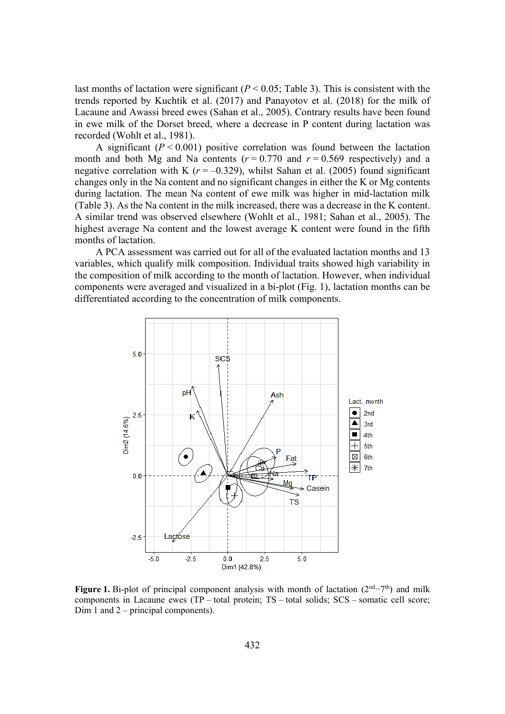last months of lactation were significant  $(P < 0.05$ ; Table 3). This is consistent with the trends reported by Kuchtík et al. (2017) and Panayotov et al. (2018) for the milk of Lacaune and Awassi breed ewes (Sahan et al., 2005). Contrary results have been found in ewe milk of the Dorset breed, where a decrease in P content during lactation was recorded (Wohlt et al., 1981).

A significant  $(P < 0.001)$  positive correlation was found between the lactation month and both Mg and Na contents  $(r = 0.770$  and  $r = 0.569$  respectively) and a negative correlation with K  $(r = -0.329)$ , whilst Sahan et al. (2005) found significant changes only in the Na content and no significant changes in either the K or Mg contents during lactation. The mean Na content of ewe milk was higher in mid-lactation milk (Table 3). As the Na content in the milk increased, there was a decrease in the K content. A similar trend was observed elsewhere (Wohlt et al., 1981; Sahan et al., 2005). The highest average Na content and the lowest average K content were found in the fifth months of lactation.

A PCA assessment was carried out for all of the evaluated lactation months and 13 variables, which qualify milk composition. Individual traits showed high variability in the composition of milk according to the month of lactation. However, when individual components were averaged and visualized in a bi-plot (Fig. 1), lactation months can be differentiated according to the concentration of milk components.



**Figure 1.** Bi-plot of principal component analysis with month of lactation  $(2<sup>nd</sup>-7<sup>th</sup>)$  and milk components in Lacaune ewes (TP – total protein; TS – total solids; SCS – somatic cell score; Dim 1 and 2 – principal components).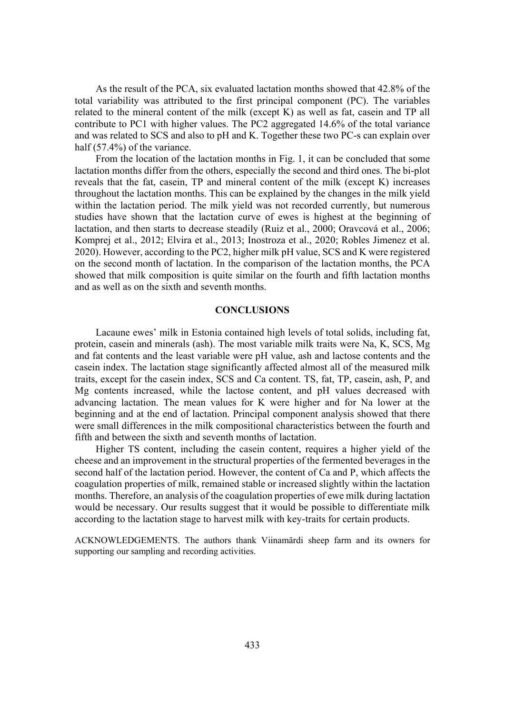As the result of the PCA, six evaluated lactation months showed that 42.8% of the total variability was attributed to the first principal component (PC). The variables related to the mineral content of the milk (except K) as well as fat, casein and TP all contribute to PC1 with higher values. The PC2 aggregated 14.6% of the total variance and was related to SCS and also to pH and K. Together these two PC-s can explain over half (57.4%) of the variance.

From the location of the lactation months in Fig. 1, it can be concluded that some lactation months differ from the others, especially the second and third ones. The bi-plot reveals that the fat, casein, TP and mineral content of the milk (except K) increases throughout the lactation months. This can be explained by the changes in the milk yield within the lactation period. The milk yield was not recorded currently, but numerous studies have shown that the lactation curve of ewes is highest at the beginning of lactation, and then starts to decrease steadily (Ruiz et al., 2000; Oravcová et al., 2006; Komprej et al., 2012; Elvira et al., 2013; Inostroza et al., 2020; Robles Jimenez et al. 2020). However, according to the PC2, higher milk pH value, SCS and K were registered on the second month of lactation. In the comparison of the lactation months, the PCA showed that milk composition is quite similar on the fourth and fifth lactation months and as well as on the sixth and seventh months.

## **CONCLUSIONS**

Lacaune ewes' milk in Estonia contained high levels of total solids, including fat, protein, casein and minerals (ash). The most variable milk traits were Na, K, SCS, Mg and fat contents and the least variable were pH value, ash and lactose contents and the casein index. The lactation stage significantly affected almost all of the measured milk traits, except for the casein index, SCS and Ca content. TS, fat, TP, casein, ash, P, and Mg contents increased, while the lactose content, and pH values decreased with advancing lactation. The mean values for K were higher and for Na lower at the beginning and at the end of lactation. Principal component analysis showed that there were small differences in the milk compositional characteristics between the fourth and fifth and between the sixth and seventh months of lactation.

Higher TS content, including the casein content, requires a higher yield of the cheese and an improvement in the structural properties of the fermented beverages in the second half of the lactation period. However, the content of Ca and P, which affects the coagulation properties of milk, remained stable or increased slightly within the lactation months. Therefore, an analysis of the coagulation properties of ewe milk during lactation would be necessary. Our results suggest that it would be possible to differentiate milk according to the lactation stage to harvest milk with key-traits for certain products.

ACKNOWLEDGEMENTS. The authors thank Viinamärdi sheep farm and its owners for supporting our sampling and recording activities.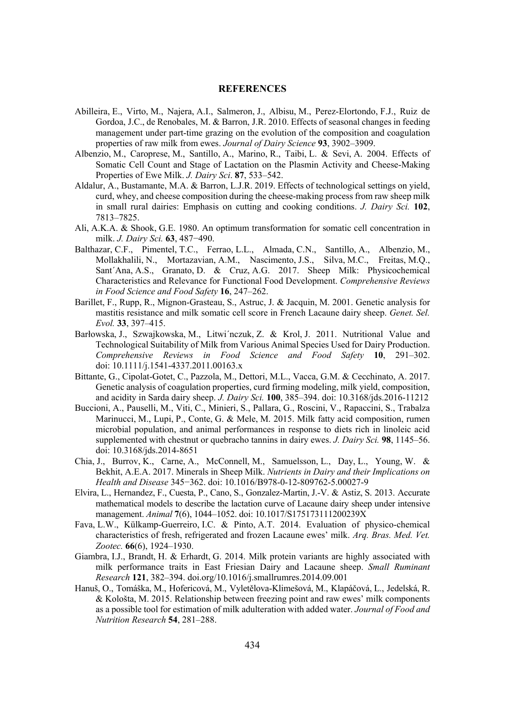## **REFERENCES**

- Abilleira, E., Virto, M., Najera, A.I., Salmeron, J., Albisu, M., Perez-Elortondo, F.J., Ruiz de Gordoa, J.C., de Renobales, M. & Barron, J.R. 2010. Effects of seasonal changes in feeding management under part-time grazing on the evolution of the composition and coagulation properties of raw milk from ewes. *Journal of Dairy Science* 93, 3902–3909.
- Albenzio, M., Caroprese, M., Santillo, A., Marino, R., Taibi, L. & Sevi, A. 2004. Effects of Somatic Cell Count and Stage of Lactation on the Plasmin Activity and Cheese-Making Properties of Ewe Milk. *J. Dairy Sci*. 87, 533–542.
- Aldalur, A., Bustamante, M.A. & Barron, L.J.R. 2019. Effects of technological settings on yield, curd, whey, and cheese composition during the cheese-making process from raw sheep milk in small rural dairies: Emphasis on cutting and cooking conditions. *J. Dairy Sci.* 102, 7813–7825.
- Ali, A.K.A. & Shook, G.E. 1980. An optimum transformation for somatic cell concentration in milk. *J. Dairy Sci.* **63**, 487-490.
- Balthazar, C.F., Pimentel, T.C., Ferrao, L.L., Almada, C.N., Santillo, A., Albenzio, M., Mollakhalili, N., Mortazavian, A.M., Nascimento, J.S., Silva, M.C., Freitas, M.Q., Sant´Ana, A.S., Granato, D. & Cruz, A.G. 2017. Sheep Milk: Physicochemical Characteristics and Relevance for Functional Food Development. *Comprehensive Reviews in Food Science and Food Safety* 16, 247–262.
- Barillet, F., Rupp, R., Mignon-Grasteau, S., Astruc, J. & Jacquin, M. 2001. Genetic analysis for mastitis resistance and milk somatic cell score in French Lacaune dairy sheep. *Genet. Sel. (YRO* **33**, 397–415.
- Barłowska, J., Szwajkowska, M., Litwi'nczuk, Z. & Krol, J. 2011. Nutritional Value and Technological Suitability of Milk from Various Animal Species Used for Dairy Production. *Comprehensive Reviews in Food Science and Food Safety* 10, 291–302. doi: 10.1111/j.1541-4337.2011.00163.x
- Bittante, G., Cipolat-Gotet, C., Pazzola, M., Dettori, M.L., Vacca, G.M. & Cecchinato, A. 2017. Genetic analysis of coagulation properties, curd firming modeling, milk yield, composition, and acidity in Sarda dairy sheep. *J. Dairy Sci.* **100**, 385–394. doi: 10.3168/jds.2016-11212
- Buccioni, A., Pauselli, M., Viti, C., Minieri, S., Pallara, G., Roscini, V., Rapaccini, S., Trabalza Marinucci, M., Lupi, P., Conte, G. & Mele, M. 2015. Milk fatty acid composition, rumen microbial population, and animal performances in response to diets rich in linoleic acid supplemented with chestnut or quebracho tannins in dairy ewes. *J. Dairy Sci.* **98**, 1145–56. doi: 10.3168/jds.2014-8651
- Chia, J., Burrov, K., Carne, A., McConnell, M., Samuelsson, L., Day, L., Young, W. & Bekhit, A.E.A. 2017. Minerals in Sheep Milk. *Nutrients in Dairy and their Implications on Health and Disease* 345-362. doi: 10.1016/B978-0-12-809762-5.00027-9
- Elvira, L., Hernandez, F., Cuesta, P., Cano, S., Gonzalez-Martin, J.-V. & Astiz, S. 2013. Accurate mathematical models to describe the lactation curve of Lacaune dairy sheep under intensive management. *Animal* **7**(6), 1044–1052. doi: 10.1017/S175173111200239X
- Fava, L.W., Külkamp-Guerreiro, I.C. & Pinto, A.T. 2014. Evaluation of physico-chemical characteristics of fresh, refrigerated and frozen Lacaune ewes' milk. *Arg. Bras. Med. Vet.* Zootec. **66**(6), 1924–1930.
- Giambra, I.J., Brandt, H. & Erhardt, G. 2014. Milk protein variants are highly associated with milk performance traits in East Friesian Dairy and Lacaune sheep. *Small Ruminant Research* **121**, 382–394. doi.org/10.1016/j.smallrumres.2014.09.001
- Hanuš, O., Tomáška, M., Hofericová, M., Vyletělova-Klimešová, M., Klapáčová, L., Jedelská, R. & Kološta, M. 2015. Relationship between freezing point and raw ewes' milk components as a possible tool for estimation of milk adulteration with added water. *Journal of Food and Nutrition Research* 54, 281–288.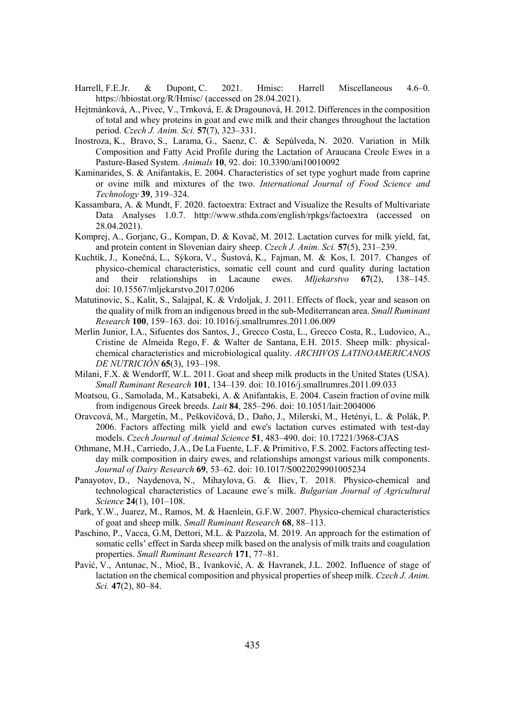- Harrell, F.E.Jr. & Dupont, C. 2021. Hmisc: Harrell Miscellaneous 4.6–0. https://hbiostat.org/R/Hmisc/ (accessed on 28.04.2021).
- Hejtmánková, A., Pivec, V., Trnková, E. & Dragounová, H. 2012. Differences in the composition of total and whey proteins in goat and ewe milk and their changes throughout the lactation period. *Czech J. Anim. Sci.* 57(7), 323–331.
- Inostroza, K., Bravo, S., Larama, G., Saenz, C. & Sepúlveda, N. 2020. Variation in Milk Composition and Fatty Acid Profile during the Lactation of Araucana Creole Ewes in a Pasture-Based System. *Animals* **10**, 92. doi: 10.3390/ani10010092
- Kaminarides, S. & Anifantakis, E. 2004. Characteristics of set type yoghurt made from caprine or ovine milk and mixtures of the two. *International Journal of Food Science and Technology* **39**, 319–324.
- Kassambara, A. & Mundt, F. 2020. factoextra: Extract and Visualize the Results of Multivariate Data Analyses 1.0.7. http://www.sthda.com/english/rpkgs/factoextra (accessed on 28.04.2021).
- Komprej, A., Gorjanc, G., Kompan, D. & Kovač, M. 2012. Lactation curves for milk yield, fat, and protein content in Slovenian dairy sheep. *Czech J. Anim. Sci.* 57(5), 231–239.
- Kuchtík, J., Konečná, L., Sýkora, V., Šustová, K., Fajman, M. & Kos, I. 2017. Changes of physico-chemical characteristics, somatic cell count and curd quality during lactation and their relationships in Lacaune ewes. *Mliekarstvo* 67(2), 138–145. doi: 10.15567/mljekarstvo.2017.0206
- Matutinovic, S., Kalit, S., Salajpal, K. & Vrdoljak, J. 2011. Effects of flock, year and season on the quality of milk from an indigenous breed in the sub-Mediterranean area. *Small Ruminant Research* **100**, 159–163. doi: 10.1016/j.smallrumres.2011.06.009
- Merlin Junior, I.A., Sifuentes dos Santos, J., Grecco Costa, L., Grecco Costa, R., Ludovico, A., Cristine de Almeida Rego, F. & Walter de Santana, E.H. 2015. Sheep milk: physicalchemical characteristics and microbiological quality. *ARCHIVOS LATINOAMERICANOS DE NUTRICIÓN* **65**(3), 193–198.
- Milani, F.X. & Wendorff, W.L. 2011. Goat and sheep milk products in the United States (USA). *6PDOO5XPLQDQW5HVHDUFK* **101**, 134–139. doi: 10.1016/j.smallrumres.2011.09.033
- Moatsou, G., Samolada, M., Katsabeki, A. & Anifantakis, E. 2004. Casein fraction of ovine milk from indigenous Greek breeds. *Lait* 84, 285–296. doi: 10.1051/lait:2004006
- Oravcová, M., Margetín, M., Peškovičová, D., Daňo, J., Milerski, M., Hetényi, L. & Polák, P. 2006. Factors affecting milk yield and ewe's lactation curves estimated with test-day models. *Czech Journal of Animal Science* 51, 483-490. doi: 10.17221/3968-CJAS
- Othmane, M.H., Carriedo, J.A., De La Fuente, L.F. & Primitivo, F.S. 2002. Factors affecting testday milk composition in dairy ewes, and relationships amongst various milk components. *Journal of Dairy Research* 69, 53-62. doi: 10.1017/S0022029901005234
- Panayotov, D., Naydenova, N., Mihaylova, G. & Iliev, T. 2018. Physico-chemical and technological characteristics of Lacaune ewe's milk. *Bulgarian Journal of Agricultural Science* **24**(1), 101–108.
- Park, Y.W., Juarez, M., Ramos, M. & Haenlein, G.F.W. 2007. Physico-chemical characteristics of goat and sheep milk. *Small Ruminant Research* 68, 88–113.
- Paschino, P., Vacca, G.M, Dettori, M.L. & Pazzola, M. 2019. An approach for the estimation of somatic cells' effect in Sarda sheep milk based on the analysis of milk traits and coagulation properties. *Small Ruminant Research* 171, 77–81.
- Pavić, V., Antunac, N., Mioč, B., Ivanković, A. & Havranek, J.L. 2002. Influence of stage of lactation on the chemical composition and physical properties of sheep milk. *Czech J. Anim. 6FL***47**(2), 80–84.